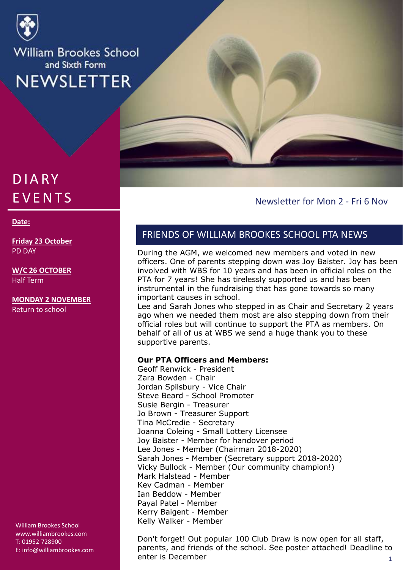

# **DIARY EVENTS**

#### **Date:**

**Friday 23 October** PD DAY

**W/C 26 OCTOBER** Half Term

**MONDAY 2 NOVEMBER** Return to school

William Brookes School www.williambrookes.com T: 01952 728900 E: info@williambrookes.com

#### Newsletter for Mon 2 - Fri 6 Nov

## FRIENDS OF WILLIAM BROOKES SCHOOL PTA NEWS

During the AGM, we welcomed new members and voted in new officers. One of parents stepping down was Joy Baister. Joy has been involved with WBS for 10 years and has been in official roles on the PTA for 7 years! She has tirelessly supported us and has been instrumental in the fundraising that has gone towards so many important causes in school.

Lee and Sarah Jones who stepped in as Chair and Secretary 2 years ago when we needed them most are also stepping down from their official roles but will continue to support the PTA as members. On behalf of all of us at WBS we send a huge thank you to these supportive parents.

#### **Our PTA Officers and Members:**

Geoff Renwick - President Zara Bowden - Chair Jordan Spilsbury - Vice Chair Steve Beard - School Promoter Susie Bergin - Treasurer Jo Brown - Treasurer Support Tina McCredie - Secretary Joanna Coleing - Small Lottery Licensee Joy Baister - Member for handover period Lee Jones - Member (Chairman 2018-2020) Sarah Jones - Member (Secretary support 2018-2020) Vicky Bullock - Member (Our community champion!) Mark Halstead - Member Kev Cadman - Member Ian Beddow - Member Payal Patel - Member Kerry Baigent - Member Kelly Walker - Member

1 Don't forget! Out popular 100 Club Draw is now open for all staff, parents, and friends of the school. See poster attached! Deadline to enter is December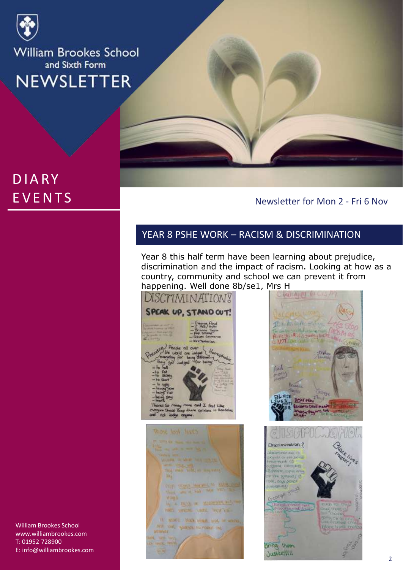

# **DIARY EVENTS**

Newsletter for Mon 2 - Fri 6 Nov

# YEAR 8 PSHE WORK – RACISM & DISCRIMINATION

Year 8 this half term have been learning about prejudice, discrimination and the impact of racism. Looking at how as a country, community and school we can prevent it from happening. Well done 8b/se1, Mrs H

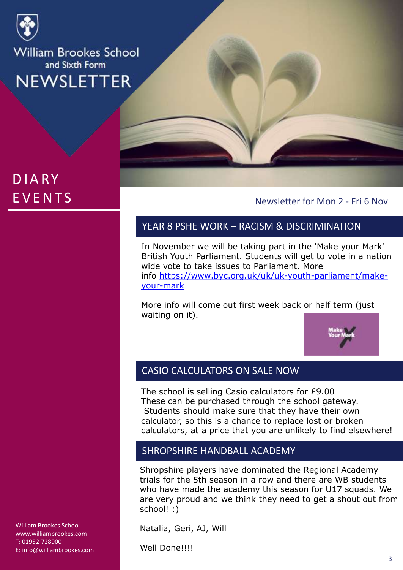

# **DIARY EVENTS**

Newsletter for Mon 2 - Fri 6 Nov

# YEAR 8 PSHE WORK – RACISM & DISCRIMINATION

In November we will be taking part in the 'Make your Mark' British Youth Parliament. Students will get to vote in a nation wide vote to take issues to Parliament. More info [https://www.byc.org.uk/uk/uk-youth-parliament/make](https://www.byc.org.uk/uk/uk-youth-parliament/make-your-mark)your-mark

More info will come out first week back or half term (just waiting on it).



## CASIO CALCULATORS ON SALE NOW

The school is selling Casio calculators for £9.00 These can be purchased through the school gateway. Students should make sure that they have their own calculator, so this is a chance to replace lost or broken calculators, at a price that you are unlikely to find elsewhere!

## SHROPSHIRE HANDBALL ACADEMY

Shropshire players have dominated the Regional Academy trials for the 5th season in a row and there are WB students who have made the academy this season for U17 squads. We are very proud and we think they need to get a shout out from school! :)

Natalia, Geri, AJ, Will

Well Done!!!!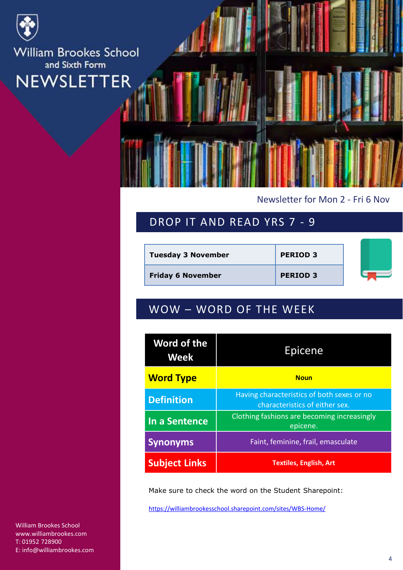

### Newsletter for Mon 2 - Fri 6 Nov

# DROP IT AND READ YRS 7 - 9

| <b>Tuesday 3 November</b> | <b>PERIOD 3</b> |  |
|---------------------------|-----------------|--|
| <b>Friday 6 November</b>  | <b>PERIOD 3</b> |  |

# WOW – WORD OF THE WEEK

| Word of the<br>Week  | Epicene                                                                      |  |
|----------------------|------------------------------------------------------------------------------|--|
| <b>Word Type</b>     | <b>Noun</b>                                                                  |  |
| <b>Definition</b>    | Having characteristics of both sexes or no<br>characteristics of either sex. |  |
| In a Sentence        | Clothing fashions are becoming increasingly<br>epicene.                      |  |
| <b>Synonyms</b>      | Faint, feminine, frail, emasculate                                           |  |
| <b>Subject Links</b> | <b>Textiles, English, Art</b>                                                |  |

Make sure to check the word on the Student Sharepoint:

<https://williambrookesschool.sharepoint.com/sites/WBS-Home/>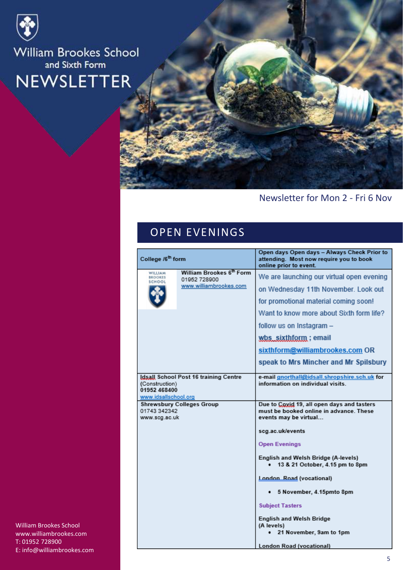



## Newsletter for Mon 2 - Fri 6 Nov

# OPEN EVENINGS

| College /6 <sup>th</sup> form                          |                                                                    | Open days Open days - Always Check Prior to<br>attending. Most now require you to book<br>online prior to event.                                                                                                                                                                                                                                                                                                               |
|--------------------------------------------------------|--------------------------------------------------------------------|--------------------------------------------------------------------------------------------------------------------------------------------------------------------------------------------------------------------------------------------------------------------------------------------------------------------------------------------------------------------------------------------------------------------------------|
| WILLIAM<br><b>BROOKES</b><br>SCHOOL                    | William Brookes 6th Form<br>01952 728900<br>www.williambrookes.com | We are launching our virtual open evening<br>on Wednesday 11th November. Look out<br>for promotional material coming soon!<br>Want to know more about Sixth form life?<br>follow us on Instagram -<br>wbs_sixthform; email<br>sixthform@williambrookes.com OR<br>speak to Mrs Mincher and Mr Spilsbury                                                                                                                         |
| (Construction)<br>01952 468400<br>www.idsallschool.org | Idsall School Post 16 training Centre                              | e-mail gnorthall@idsall.shropshire.sch.uk for<br>information on individual visits.                                                                                                                                                                                                                                                                                                                                             |
| 01743 342342<br>www.scg.ac.uk                          | <b>Shrewsbury Colleges Group</b>                                   | Due to Coxid 19, all open days and tasters<br>must be booked online in advance. These<br>events may be virtual<br>scg.ac.uk/events<br><b>Open Evenings</b><br>English and Welsh Bridge (A-levels)<br>13 & 21 October, 4.15 pm to 8pm<br>London Road (vocational)<br>5 November, 4.15pmto 8pm<br><b>Subject Tasters</b><br><b>English and Welsh Bridge</b><br>(A levels)<br>21 November, 9am to 1pm<br>London Road (vocational) |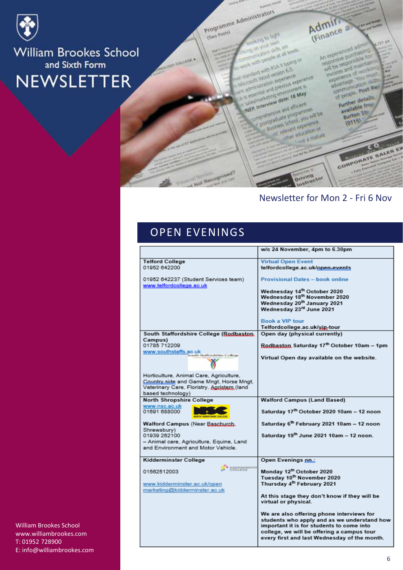

Programme Administrators

**Gwo Posta)** 

**ONLINE TO LIGHT** on you cam

on your cam<br>on your cam are<br>cheaten skills at all y with people at all typing of<br>conscious pully at all levels

one with BSA II Many<br>sumplies with BSA II Many<br>croots Word version experience

come with version 6.0<br>profit Word version experience<br>promiseration experience ext<br>promiseration over completed version experience

Interview date: 18 May

**MEP. Interview date: 18 May**<br>MEP. Interview date: 18 May<br>MEP. Interview date: 18 May

P. Interview date: 16

P. Interview<br>Statement and efficient<br>Officializate programmes<br>Susmess School you en Business School Mariners

manus education of

educt education or education

and with ession 6.0.

Admir.

 $J23.0<sup>3</sup>$ An experienced adm An experienced administration will be responsible for<br>responsive purchasine for<br>will be responsible for impletience of works experience of work<br>experience of work<br>experience you must woices and of working sperience<br>advantage vous dramage<br>communication<br>of people post Red

**A Sunday** 

f people details Further detail available<br>Burton St

 $2110$ 

# CORPORATE SALES EX **Driving**<br>Driving

#### Newsletter for Mon 2 - Fri 6 Nov

# OPEN EVENINGS

Not Recognised?

|                                                                  | w/c 24 November, 4pm to 6.30pm                                                             |
|------------------------------------------------------------------|--------------------------------------------------------------------------------------------|
| <b>Telford College</b>                                           | <b>Virtual Open Event</b>                                                                  |
| 01952 642200                                                     | telfordcollege.ac.uk/open-events                                                           |
| 01952 642237 (Student Services team)<br>www.telfordcollege.ac.uk | <b>Provisional Dates - book online</b>                                                     |
|                                                                  | Wednesday 14th October 2020                                                                |
|                                                                  | Wednesday 18th November 2020                                                               |
|                                                                  | Wednesday 20 <sup>th</sup> January 2021                                                    |
|                                                                  | Wednesday 23rd June 2021                                                                   |
|                                                                  | <b>Book a VIP tour</b>                                                                     |
|                                                                  | Telfordcollege.ac.uk/xin-tour                                                              |
| South Staffordshire College (Rodbaston,                          | Open day (physical currently)                                                              |
| Campus)                                                          |                                                                                            |
| 01785 712209                                                     | Rodbaston Saturday 17th October 10am - 1pm                                                 |
| www.southstaffs.ac.uk<br>South Staffordshire College             | Virtual Open day available on the website.                                                 |
| Horticulture, Animal Care, Agriculture,                          |                                                                                            |
| Country side and Game Mngt, Horse Mngt,                          |                                                                                            |
| Veterinary Care, Floristry, Agristem (land                       |                                                                                            |
| based technology)                                                |                                                                                            |
| <b>North Shropshire College</b>                                  | <b>Walford Campus (Land Based)</b>                                                         |
| www.nsc.ac.uk<br>01691 688000                                    | Saturday 17th October 2020 10am - 12 noon                                                  |
| Walford Campus (Near Baschurch,                                  | Saturday 6 <sup>th</sup> February 2021 10am - 12 noon                                      |
| Shrewsbury)<br>01939 262100                                      | Saturday 19th June 2021 10am - 12 noon.                                                    |
| - Animal care, Agriculture, Equine, Land                         |                                                                                            |
| and Environment and Motor Vehicle.                               |                                                                                            |
| Kidderminster College                                            | Open Evenings on:                                                                          |
| KIDDERMINSTER<br>01562512003                                     | Monday 12th October 2020                                                                   |
|                                                                  | Tuesday 10 <sup>th</sup> November 2020                                                     |
| www.kidderminster.ac.uk/open<br>marketing@kidderminster.ac.uk    | Thursday 4 <sup>th</sup> February 2021                                                     |
|                                                                  | At this stage they don't know if they will be<br>virtual or physical.                      |
|                                                                  | We are also offering phone interviews for<br>students who apply and as we understand how   |
|                                                                  | important it is for students to come into                                                  |
|                                                                  | college, we will be offering a campus tour<br>every first and last Wednesday of the month. |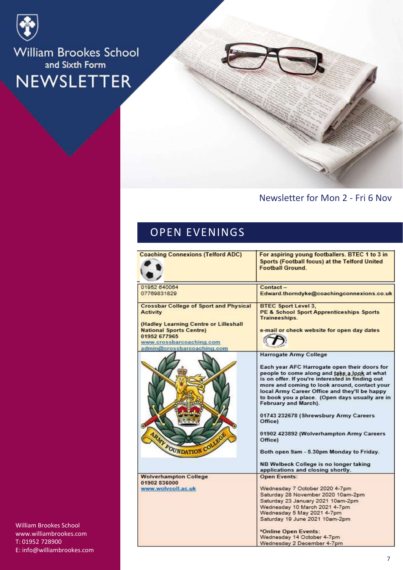

### Newsletter for Mon 2 - Fri 6 Nov

# OPEN EVENINGS

| <b>Coaching Connexions (Telford ADC)</b>                                                                                                          | For aspiring young footballers. BTEC 1 to 3 in<br>Sports (Football focus) at the Telford United<br><b>Football Ground.</b>                                                                                                                                                                                                  |
|---------------------------------------------------------------------------------------------------------------------------------------------------|-----------------------------------------------------------------------------------------------------------------------------------------------------------------------------------------------------------------------------------------------------------------------------------------------------------------------------|
| 01952 640064<br>07769831829                                                                                                                       | Contact-<br>Edward.thorndyke@coachingconnexions.co.uk                                                                                                                                                                                                                                                                       |
| <b>Crossbar College of Sport and Physical</b><br><b>Activity</b>                                                                                  | <b>BTEC Sport Level 3,</b><br><b>PE &amp; School Sport Apprenticeships Sports</b><br>Traineeships.                                                                                                                                                                                                                          |
| (Hadley Learning Centre or Lilleshall<br><b>National Sports Centre)</b><br>01952 677965<br>www.crossbarcoaching.com<br>admin@crossbarcoaching.com | e-mail or check website for open day dates                                                                                                                                                                                                                                                                                  |
|                                                                                                                                                   | Harrogate Army College                                                                                                                                                                                                                                                                                                      |
|                                                                                                                                                   | Each year AFC Harrogate open their doors for<br>people to come along and take a look at what<br>is on offer. If you're interested in finding out<br>more and coming to look around, contact your<br>local Army Career Office and they'll be happy<br>to book you a place. (Open days usually are in<br>February and March). |
|                                                                                                                                                   | 01743 232678 (Shrewsbury Army Careers<br>Office)                                                                                                                                                                                                                                                                            |
| <b>ARMY FOUNDATION COLLE</b>                                                                                                                      | 01902 423892 (Wolverhampton Army Careers<br>Office)                                                                                                                                                                                                                                                                         |
|                                                                                                                                                   | Both open 9am - 5.30pm Monday to Friday.                                                                                                                                                                                                                                                                                    |
|                                                                                                                                                   | NB Welbeck College is no longer taking<br>applications and closing shortly.                                                                                                                                                                                                                                                 |
| <b>Wolverhampton College</b>                                                                                                                      | <b>Open Events:</b>                                                                                                                                                                                                                                                                                                         |
| 01902 836000<br>www.wolvcoll.ac.uk                                                                                                                | Wednesday 7 October 2020 4-7pm                                                                                                                                                                                                                                                                                              |
|                                                                                                                                                   | Saturday 28 November 2020 10am-2pm                                                                                                                                                                                                                                                                                          |
|                                                                                                                                                   | Saturday 23 January 2021 10am-2pm                                                                                                                                                                                                                                                                                           |
|                                                                                                                                                   | Wednesday 10 March 2021 4-7pm                                                                                                                                                                                                                                                                                               |
|                                                                                                                                                   | Wednesday 5 May 2021 4-7pm<br>Saturday 19 June 2021 10am-2pm.                                                                                                                                                                                                                                                               |
|                                                                                                                                                   | *Online Open Events:                                                                                                                                                                                                                                                                                                        |
|                                                                                                                                                   | Wednesday 14 October 4-7pm                                                                                                                                                                                                                                                                                                  |
|                                                                                                                                                   | Wednesday 2 December 4-7pm                                                                                                                                                                                                                                                                                                  |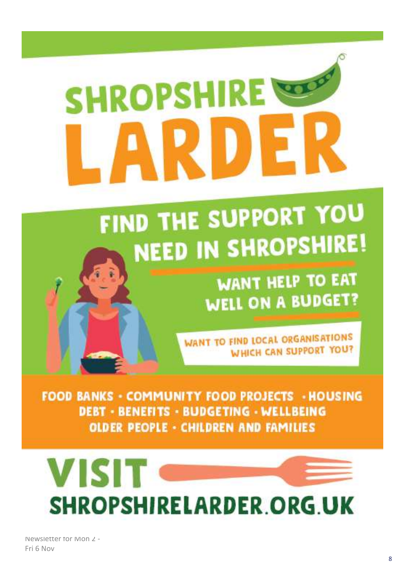# **ROD SHROPSHIRE**

# FIND THE SUPPORT YOU **NEED IN SHROPSHIRE!**

**WANT HELP TO EAT WELL ON A BUDGET?** 

**WANT TO FIND LOCAL ORGANISATIONS WHICH CAN SUPPORT YOU?** 

**FOOD BANKS - COMMUNITY FOOD PROJECTS - HOUSING DEBT - BENEFITS - BUDGETING - WELLBEING OLDER PEOPLE - CHILDREN AND FAMILIES** 



Newsletter for Mon 2 -Fri 6 Nov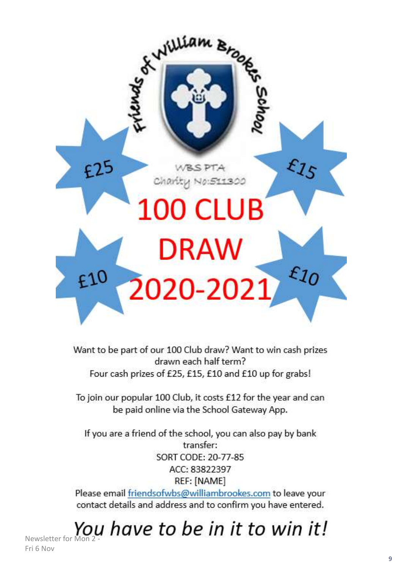

Want to be part of our 100 Club draw? Want to win cash prizes drawn each half term? Four cash prizes of £25, £15, £10 and £10 up for grabs!

To join our popular 100 Club, it costs £12 for the year and can be paid online via the School Gateway App.

If you are a friend of the school, you can also pay by bank transfer: SORT CODE: 20-77-85 ACC: 83822397 REF: [NAME]

Please email friendsofwbs@williambrookes.com to leave your contact details and address and to confirm you have entered.

Newsletter for Mon 2 -

Fri 6 Nov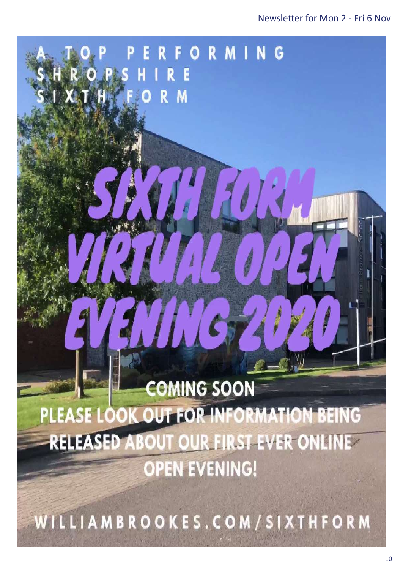# 70 **COMING SOON** PLEASE LOOK OUT FOR INFORMATION BEING **RELEASED ABOUT OUR FIRST EVER ONLINE OPEN EVENING!**

RIGPS HIRE

ORMING

 $\alpha$  and  $\alpha$  in for the newsletters sent in for the newsletters sent in for the newsletters sent in for the newsletters in  $\alpha$ 

WILLIAMBROOKES.COM/SIXTHFORM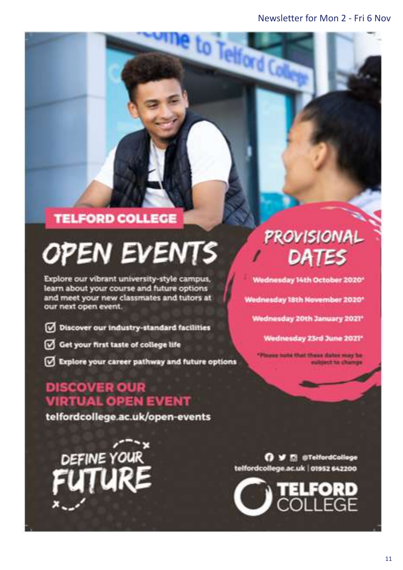to Telford C

# **TELFORD COLLEGE**

# **OPEN EVENTS**

Explore our vibrant university-style campus, learn about your course and future options and meet your new classmates and tutors at our next open event.

- Discover our industry-standard facilities
- Get your first taste of college life
- Explore your career pathway and future options

# **DISCOVER OUR VIRTUAL OPEN EVENT**

telfordcollege.ac.uk/open-events

DEFINE YOUR

# **PROVISIONAL** DATES

Wednesday 14th October 2020\*

Wednesday 18th November 2020\*

Wednesday 20th January 2021\*

Wednesday 23rd June 2021\*

aug nate that these dates may be ubject to change

O V El @TelfordCollege telfordcollege.ac.uk | 01952 642200

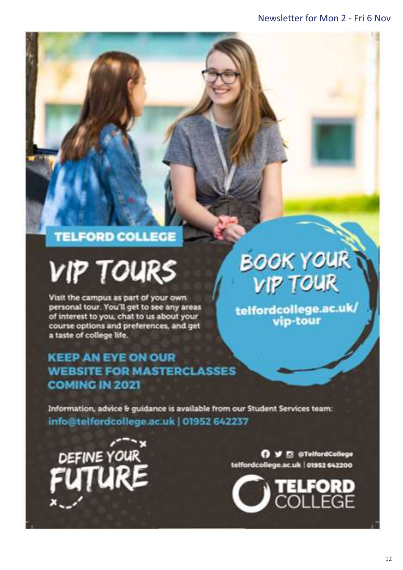# **TELFORD COLLEGE**

# **VIP TOURS**

Visit the campus as part of your own personal tour. You'll get to see any areas of interest to you, chat to us about your course options and preferences, and get a taste of college life.

# **KEEP AN EYE ON OUR WEBSITE FOR MASTERCLASSES COMING IN 2021**

**BOOK YOUR VIP TOUR** 

telfordcollege.ac.uk/<br>vip-tour

Information, advice & guidance is available from our Student Services team: info@telfordcollege.ac.uk | 01952 642237

DEFINE YOUR

O V E @TelfordCollege telfordcollege.ac.uk | 01952 642200